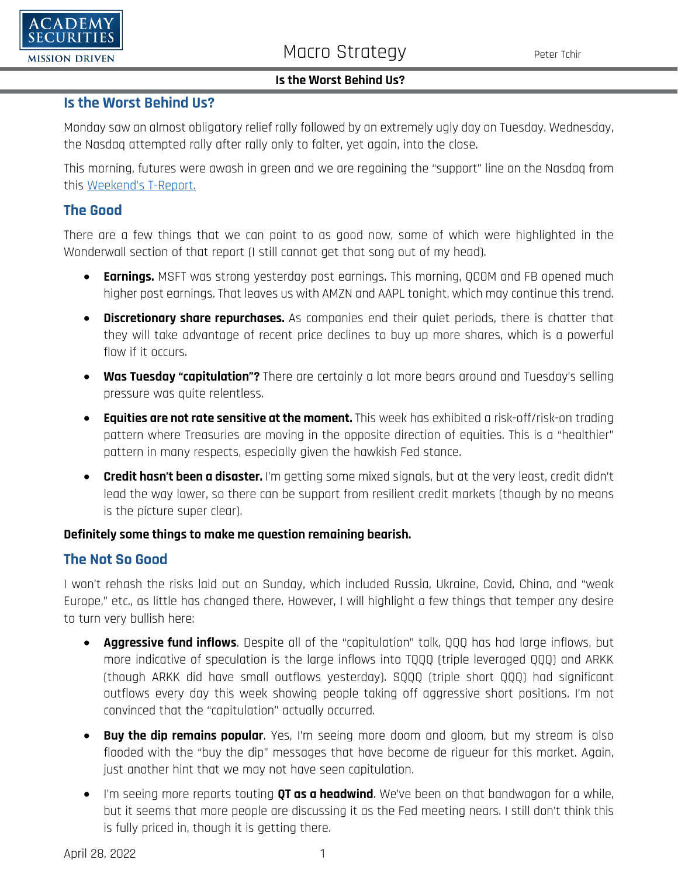

#### **Is the Worst Behind Us?**

#### **Is the Worst Behind Us?**

Monday saw an almost obligatory relief rally followed by an extremely ugly day on Tuesday. Wednesday, the Nasdaq attempted rally after rally only to falter, yet again, into the close.

This morning, futures were awash in green and we are regaining the "support" line on the Nasdaq from this [Weekend's](https://www.academysecurities.com/wordpress/wp-content/uploads/2022/04/The-Not-So-Good-The-Bad-and-the-Ugly-1.pdf) T-Report.

## **The Good**

There are a few things that we can point to as good now, some of which were highlighted in the Wonderwall section of that report (I still cannot get that song out of my head).

- **Earnings.** MSFT was strong yesterday post earnings. This morning, QCOM and FB opened much higher post earnings. That leaves us with AMZN and AAPL tonight, which may continue this trend.
- **Discretionary share repurchases.** As companies end their quiet periods, there is chatter that they will take advantage of recent price declines to buy up more shares, which is a powerful flow if it occurs.
- **Was Tuesday "capitulation"?** There are certainly a lot more bears around and Tuesday's selling pressure was quite relentless.
- **Equities are not rate sensitive at the moment.** This week has exhibited a risk-off/risk-on trading pattern where Treasuries are moving in the opposite direction of equities. This is a "healthier" pattern in many respects, especially given the hawkish Fed stance.
- **Credit hasn't been a disaster.** I'm getting some mixed signals, but at the very least, credit didn't lead the way lower, so there can be support from resilient credit markets (though by no means is the picture super clear).

#### **Definitely some things to make me question remaining bearish.**

## **The Not So Good**

I won't rehash the risks laid out on Sunday, which included Russia, Ukraine, Covid, China, and "weak Europe," etc., as little has changed there. However, I will highlight a few things that temper any desire to turn very bullish here:

- **Aggressive fund inflows**. Despite all of the "capitulation" talk, QQQ has had large inflows, but more indicative of speculation is the large inflows into TQQQ (triple leveraged QQQ) and ARKK (though ARKK did have small outflows yesterday). SQQQ (triple short QQQ) had significant outflows every day this week showing people taking off aggressive short positions. I'm not convinced that the "capitulation" actually occurred.
- **Buy the dip remains popular**. Yes, I'm seeing more doom and gloom, but my stream is also flooded with the "buy the dip" messages that have become de rigueur for this market. Again, just another hint that we may not have seen capitulation.
- I'm seeing more reports touting **QT as a headwind**. We've been on that bandwagon for a while, but it seems that more people are discussing it as the Fed meeting nears. I still don't think this is fully priced in, though it is getting there.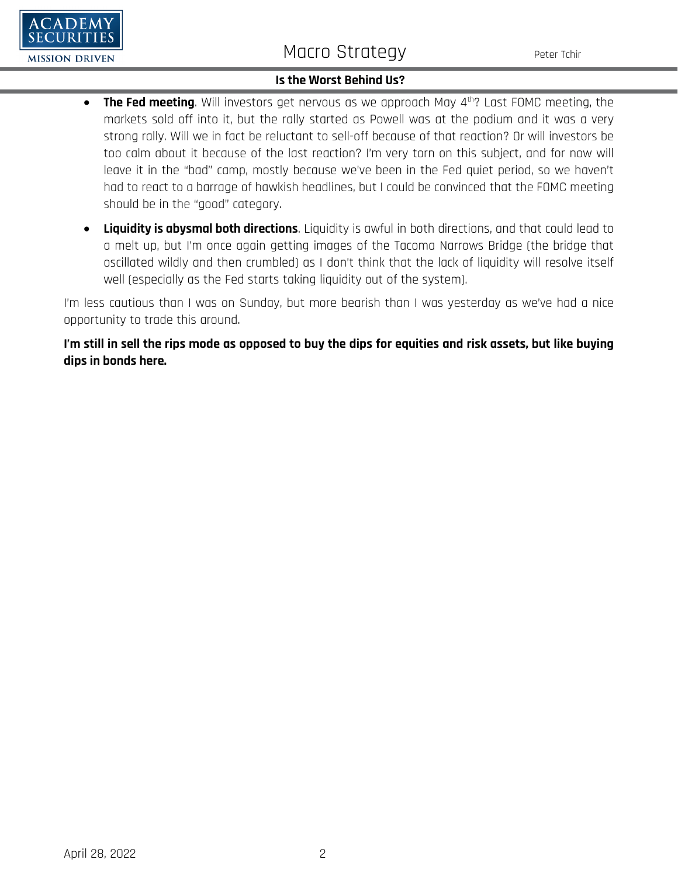# Macro Strategy Peter Tchir

#### **Is the Worst Behind Us?**

- **The Fed meeting**. Will investors get nervous as we approach May 4th? Last FOMC meeting, the markets sold off into it, but the rally started as Powell was at the podium and it was a very strong rally. Will we in fact be reluctant to sell-off because of that reaction? Or will investors be too calm about it because of the last reaction? I'm very torn on this subject, and for now will leave it in the "bad" camp, mostly because we've been in the Fed quiet period, so we haven't had to react to a barrage of hawkish headlines, but I could be convinced that the FOMC meeting should be in the "good" category.
- **Liquidity is abysmal both directions**. Liquidity is awful in both directions, and that could lead to a melt up, but I'm once again getting images of the Tacoma Narrows Bridge (the bridge that oscillated wildly and then crumbled) as I don't think that the lack of liquidity will resolve itself well (especially as the Fed starts taking liquidity out of the system).

I'm less cautious than I was on Sunday, but more bearish than I was yesterday as we've had a nice opportunity to trade this around.

**I'm still in sell the rips mode as opposed to buy the dips for equities and risk assets, but like buying dips in bonds here.**